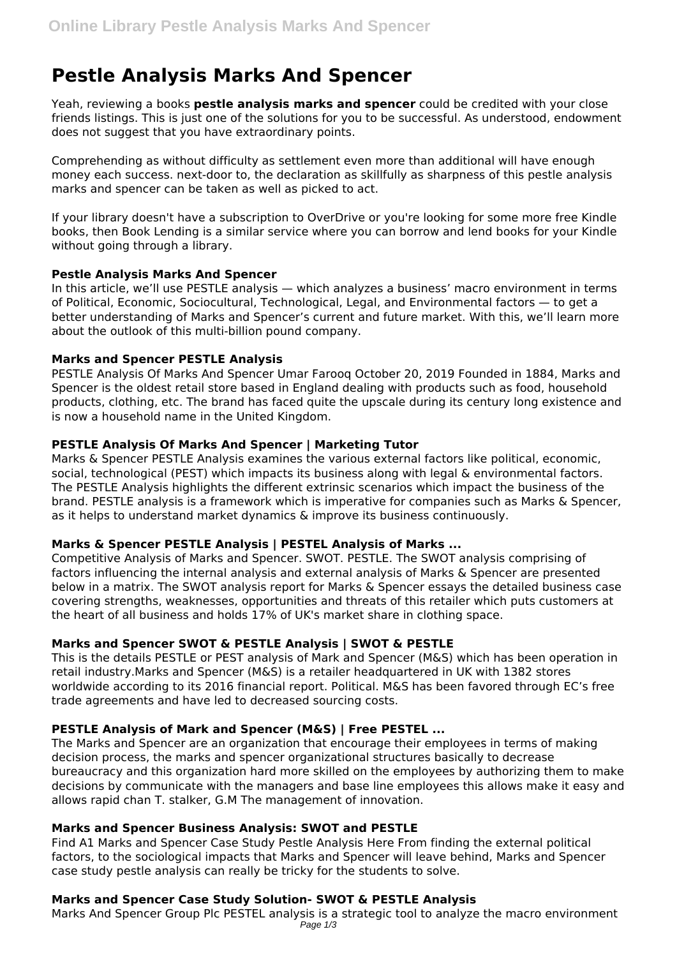# **Pestle Analysis Marks And Spencer**

Yeah, reviewing a books **pestle analysis marks and spencer** could be credited with your close friends listings. This is just one of the solutions for you to be successful. As understood, endowment does not suggest that you have extraordinary points.

Comprehending as without difficulty as settlement even more than additional will have enough money each success. next-door to, the declaration as skillfully as sharpness of this pestle analysis marks and spencer can be taken as well as picked to act.

If your library doesn't have a subscription to OverDrive or you're looking for some more free Kindle books, then Book Lending is a similar service where you can borrow and lend books for your Kindle without going through a library.

## **Pestle Analysis Marks And Spencer**

In this article, we'll use PESTLE analysis — which analyzes a business' macro environment in terms of Political, Economic, Sociocultural, Technological, Legal, and Environmental factors — to get a better understanding of Marks and Spencer's current and future market. With this, we'll learn more about the outlook of this multi-billion pound company.

## **Marks and Spencer PESTLE Analysis**

PESTLE Analysis Of Marks And Spencer Umar Farooq October 20, 2019 Founded in 1884, Marks and Spencer is the oldest retail store based in England dealing with products such as food, household products, clothing, etc. The brand has faced quite the upscale during its century long existence and is now a household name in the United Kingdom.

# **PESTLE Analysis Of Marks And Spencer | Marketing Tutor**

Marks & Spencer PESTLE Analysis examines the various external factors like political, economic, social, technological (PEST) which impacts its business along with legal & environmental factors. The PESTLE Analysis highlights the different extrinsic scenarios which impact the business of the brand. PESTLE analysis is a framework which is imperative for companies such as Marks & Spencer, as it helps to understand market dynamics & improve its business continuously.

# **Marks & Spencer PESTLE Analysis | PESTEL Analysis of Marks ...**

Competitive Analysis of Marks and Spencer. SWOT. PESTLE. The SWOT analysis comprising of factors influencing the internal analysis and external analysis of Marks & Spencer are presented below in a matrix. The SWOT analysis report for Marks & Spencer essays the detailed business case covering strengths, weaknesses, opportunities and threats of this retailer which puts customers at the heart of all business and holds 17% of UK's market share in clothing space.

# **Marks and Spencer SWOT & PESTLE Analysis | SWOT & PESTLE**

This is the details PESTLE or PEST analysis of Mark and Spencer (M&S) which has been operation in retail industry.Marks and Spencer (M&S) is a retailer headquartered in UK with 1382 stores worldwide according to its 2016 financial report. Political. M&S has been favored through EC's free trade agreements and have led to decreased sourcing costs.

# **PESTLE Analysis of Mark and Spencer (M&S) | Free PESTEL ...**

The Marks and Spencer are an organization that encourage their employees in terms of making decision process, the marks and spencer organizational structures basically to decrease bureaucracy and this organization hard more skilled on the employees by authorizing them to make decisions by communicate with the managers and base line employees this allows make it easy and allows rapid chan T. stalker, G.M The management of innovation.

# **Marks and Spencer Business Analysis: SWOT and PESTLE**

Find A1 Marks and Spencer Case Study Pestle Analysis Here From finding the external political factors, to the sociological impacts that Marks and Spencer will leave behind, Marks and Spencer case study pestle analysis can really be tricky for the students to solve.

# **Marks and Spencer Case Study Solution- SWOT & PESTLE Analysis**

Marks And Spencer Group Plc PESTEL analysis is a strategic tool to analyze the macro environment Page 1/3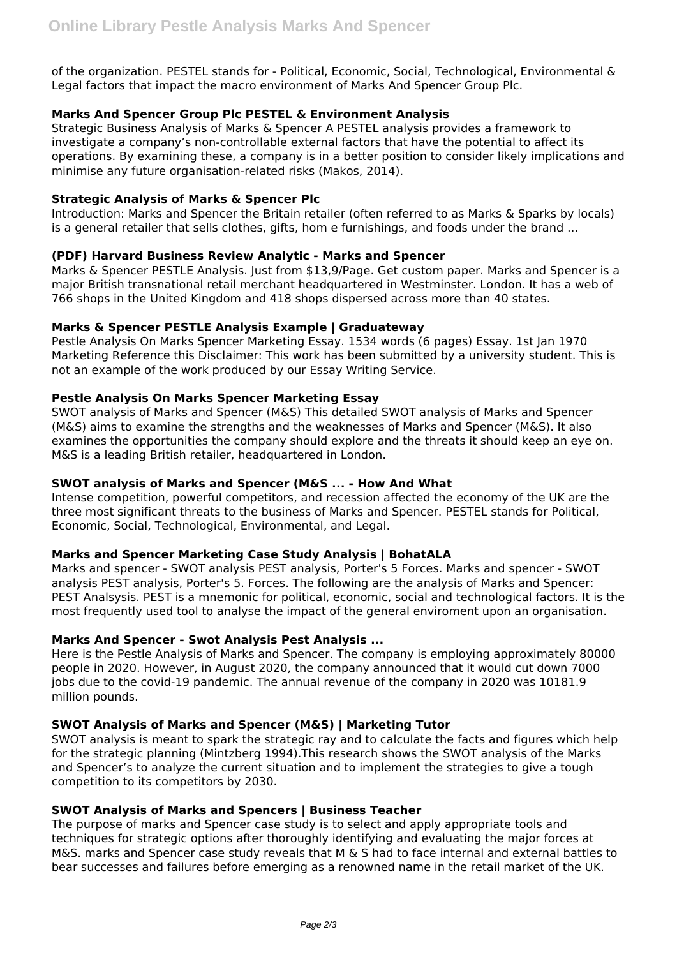of the organization. PESTEL stands for - Political, Economic, Social, Technological, Environmental & Legal factors that impact the macro environment of Marks And Spencer Group Plc.

# **Marks And Spencer Group Plc PESTEL & Environment Analysis**

Strategic Business Analysis of Marks & Spencer A PESTEL analysis provides a framework to investigate a company's non-controllable external factors that have the potential to affect its operations. By examining these, a company is in a better position to consider likely implications and minimise any future organisation-related risks (Makos, 2014).

## **Strategic Analysis of Marks & Spencer Plc**

Introduction: Marks and Spencer the Britain retailer (often referred to as Marks & Sparks by locals) is a general retailer that sells clothes, gifts, hom e furnishings, and foods under the brand ...

## **(PDF) Harvard Business Review Analytic - Marks and Spencer**

Marks & Spencer PESTLE Analysis. Just from \$13,9/Page. Get custom paper. Marks and Spencer is a major British transnational retail merchant headquartered in Westminster. London. It has a web of 766 shops in the United Kingdom and 418 shops dispersed across more than 40 states.

# **Marks & Spencer PESTLE Analysis Example | Graduateway**

Pestle Analysis On Marks Spencer Marketing Essay. 1534 words (6 pages) Essay. 1st Jan 1970 Marketing Reference this Disclaimer: This work has been submitted by a university student. This is not an example of the work produced by our Essay Writing Service.

## **Pestle Analysis On Marks Spencer Marketing Essay**

SWOT analysis of Marks and Spencer (M&S) This detailed SWOT analysis of Marks and Spencer (M&S) aims to examine the strengths and the weaknesses of Marks and Spencer (M&S). It also examines the opportunities the company should explore and the threats it should keep an eye on. M&S is a leading British retailer, headquartered in London.

#### **SWOT analysis of Marks and Spencer (M&S ... - How And What**

Intense competition, powerful competitors, and recession affected the economy of the UK are the three most significant threats to the business of Marks and Spencer. PESTEL stands for Political, Economic, Social, Technological, Environmental, and Legal.

#### **Marks and Spencer Marketing Case Study Analysis | BohatALA**

Marks and spencer - SWOT analysis PEST analysis, Porter's 5 Forces. Marks and spencer - SWOT analysis PEST analysis, Porter's 5. Forces. The following are the analysis of Marks and Spencer: PEST Analsysis. PEST is a mnemonic for political, economic, social and technological factors. It is the most frequently used tool to analyse the impact of the general enviroment upon an organisation.

## **Marks And Spencer - Swot Analysis Pest Analysis ...**

Here is the Pestle Analysis of Marks and Spencer. The company is employing approximately 80000 people in 2020. However, in August 2020, the company announced that it would cut down 7000 jobs due to the covid-19 pandemic. The annual revenue of the company in 2020 was 10181.9 million pounds.

#### **SWOT Analysis of Marks and Spencer (M&S) | Marketing Tutor**

SWOT analysis is meant to spark the strategic ray and to calculate the facts and figures which help for the strategic planning (Mintzberg 1994).This research shows the SWOT analysis of the Marks and Spencer's to analyze the current situation and to implement the strategies to give a tough competition to its competitors by 2030.

#### **SWOT Analysis of Marks and Spencers | Business Teacher**

The purpose of marks and Spencer case study is to select and apply appropriate tools and techniques for strategic options after thoroughly identifying and evaluating the major forces at M&S. marks and Spencer case study reveals that M & S had to face internal and external battles to bear successes and failures before emerging as a renowned name in the retail market of the UK.